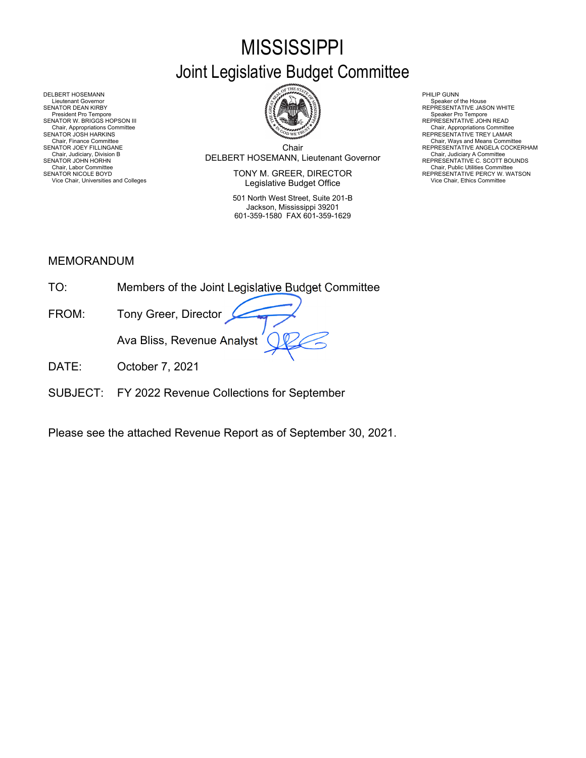# **MISSISSIPPI**

# Joint Legislative Budget Committee



Chair DELBERT HOSEMANN, Lieutenant Governor Chair, Judiciary, Division B Chair, Judiciary A Committee SENATOR JOHN HORHN REPRESENTATIVE C. SCOTT BOUNDS

SENATOR NICOLE BOYD **EXECTOR EXECUTOR SENATOR IN EXECTOR** TO REPRESENTATIVE PERCY W. WATSON Vice Chair, Universities and Colleges **Vice Chair, Ethics Committee Vice Chair, Ethics Committee Vice Chair**, Ethics Committee

> 501 North West Street, Suite 201-B Jackson, Mississippi 39201 601-359-1580 FAX 601-359-1629

Chair, Finance Committee **Chair Chair, Ways and Means Committee Committee Chair**<br>SENATOR JOEY FILLINGANE REPRESENTATIVE ANGELA COCKERHAM

DELBERT HOSEMANN PHILIP GUNN<br>Lieutenant Governor Speaker of Speaker of Speaker of Speaker of Speaker of Speaker of Speaker of Speaker of Sp Lieutenant Governor Speaker of the House SENATOR DEAN KIRBY REPRESENTATIVE JASON WHITE President Pro Tempore Speaker Pro Tempore SENATOR W. BRIGGS HOPSON III<br>Chair, Appropriations Committee<br>SENATOR JOSH HARKINS Chair, Appropriations Committee Chair, Appropriations Committee المستخدمة المستخدمة المستخدمة المستخدمة المستخدمة المستخدمة المستخدمة المستخدمة المستخدمة المستخدمة المستخدمة المستخدمة المستخدمة المستخدمة المستخدمة المستخد Chair, Judiciary Atomities Chair, Judiciary Atomities Chair, Judiciary Atomities Chair, Chair, Chair, Chair, Chair, Chair, Chair, Chair, Chair, Chair, Uniciary Atomities Chair, Labor Committee Chair, Labor Chair, Labor Com

## MEMORANDUM

| TO.   | Members of the Joint Legislative Budget Committee |
|-------|---------------------------------------------------|
| FROM: | Tony Greer, Director                              |
|       | Ava Bliss, Revenue Analyst                        |
|       | October 7, 2021                                   |

SUBJECT: FY 2022 Revenue Collections for September

Please see the attached Revenue Report as of September 30, 2021.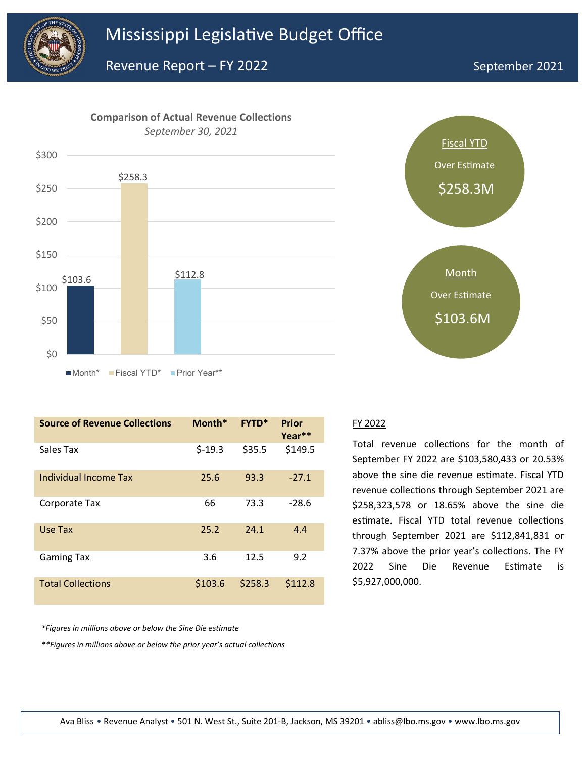



| <b>Source of Revenue Collections</b> | Month*   | <b>FYTD*</b> | <b>Prior</b><br>Year** |
|--------------------------------------|----------|--------------|------------------------|
| Sales Tax                            | $$-19.3$ | \$35.5       | \$149.5                |
| Individual Income Tax                | 25.6     | 93.3         | $-27.1$                |
| Corporate Tax                        | 66       | 73.3         | $-28.6$                |
| Use Tax                              | 25.2     | 24.1         | 4.4                    |
| <b>Gaming Tax</b>                    | 3.6      | 12.5         | 9.2                    |
| <b>Total Collections</b>             | \$103.6  | \$258.3      | \$112.8                |



Total revenue collections for the month of September FY 2022 are \$103,580,433 or 20.53% above the sine die revenue estimate. Fiscal YTD revenue collections through September 2021 are \$258,323,578 or 18.65% above the sine die estimate. Fiscal YTD total revenue collections through September 2021 are \$112,841,831 or 7.37% above the prior year's collections. The FY 2022 Sine Die Revenue Estimate is \$5,927,000,000.

*\*Figures in millions above or below the Sine Die estimate*

*\*\*Figures in millions above or below the prior year's actual collections*

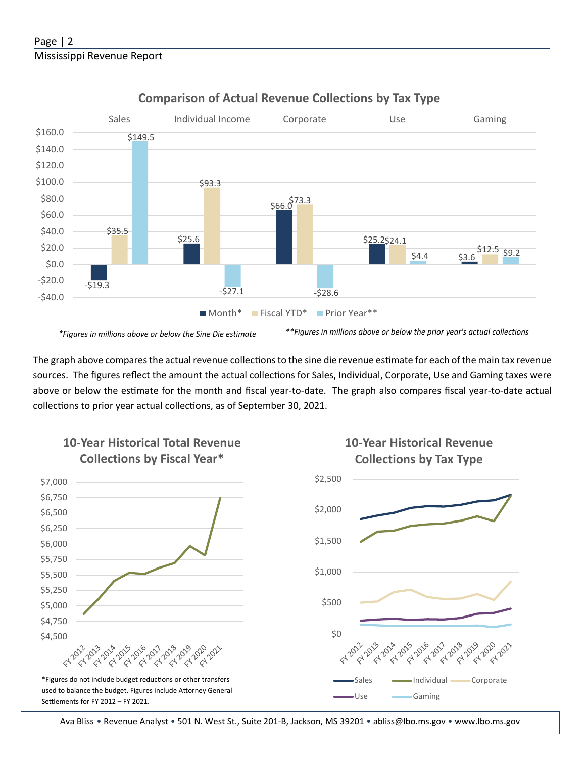

## **Comparison of Actual Revenue Collections by Tax Type**

The graph above compares the actual revenue collections to the sine die revenue estimate for each of the main tax revenue sources. The figures reflect the amount the actual collections for Sales, Individual, Corporate, Use and Gaming taxes were above or below the estimate for the month and fiscal year-to-date. The graph also compares fiscal year-to-date actual collections to prior year actual collections, as of September 30, 2021.



Ava Bliss • Revenue Analyst • 501 N. West St., Suite 201-B, Jackson, MS 39201 • abliss@lbo.ms.gov • www.lbo.ms.gov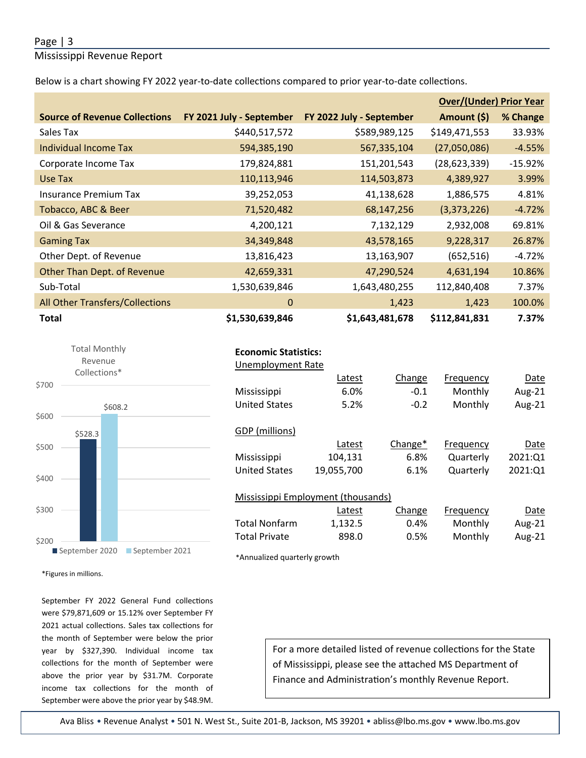### Page | 3

Mississippi Revenue Report

Below is a chart showing FY 2022 year-to-date collections compared to prior year-to-date collections.

|                                      |                          |                          | <b>Over/(Under) Prior Year</b> |           |
|--------------------------------------|--------------------------|--------------------------|--------------------------------|-----------|
| <b>Source of Revenue Collections</b> | FY 2021 July - September | FY 2022 July - September | Amount (\$)                    | % Change  |
| Sales Tax                            | \$440,517,572            | \$589,989,125            | \$149,471,553                  | 33.93%    |
| Individual Income Tax                | 594,385,190              | 567,335,104              | (27,050,086)                   | $-4.55%$  |
| Corporate Income Tax                 | 179,824,881              | 151,201,543              | (28, 623, 339)                 | $-15.92%$ |
| Use Tax                              | 110,113,946              | 114,503,873              | 4,389,927                      | 3.99%     |
| Insurance Premium Tax                | 39,252,053               | 41,138,628               | 1,886,575                      | 4.81%     |
| Tobacco, ABC & Beer                  | 71,520,482               | 68,147,256               | (3,373,226)                    | $-4.72%$  |
| Oil & Gas Severance                  | 4,200,121                | 7,132,129                | 2,932,008                      | 69.81%    |
| <b>Gaming Tax</b>                    | 34,349,848               | 43,578,165               | 9,228,317                      | 26.87%    |
| Other Dept. of Revenue               | 13,816,423               | 13,163,907               | (652, 516)                     | $-4.72%$  |
| Other Than Dept. of Revenue          | 42,659,331               | 47,290,524               | 4,631,194                      | 10.86%    |
| Sub-Total                            | 1,530,639,846            | 1,643,480,255            | 112,840,408                    | 7.37%     |
| All Other Transfers/Collections      | $\mathbf{0}$             | 1,423                    | 1,423                          | 100.0%    |
| <b>Total</b>                         | \$1,530,639,846          | \$1,643,481,678          | \$112,841,831                  | 7.37%     |



|  | <b>Economic Statistics:</b> |
|--|-----------------------------|
|--|-----------------------------|

| Unemployment Rate    |                                    |            |           |         |
|----------------------|------------------------------------|------------|-----------|---------|
|                      | Latest                             | Change     | Frequency | Date    |
| Mississippi          | 6.0%                               | $-0.1$     | Monthly   | Aug-21  |
| <b>United States</b> | 5.2%                               | $-0.2$     | Monthly   | Aug-21  |
|                      |                                    |            |           |         |
| GDP (millions)       |                                    |            |           |         |
|                      | Latest                             | Change $*$ | Frequency | Date    |
| Mississippi          | 104,131                            | 6.8%       | Quarterly | 2021:01 |
| <b>United States</b> | 19,055,700                         | 6.1%       | Quarterly | 2021:Q1 |
|                      |                                    |            |           |         |
|                      | Mississippi Employment (thousands) |            |           |         |
|                      | Latest                             | Change     | Frequency | Date    |
| <b>Total Nonfarm</b> | 1,132.5                            | 0.4%       | Monthly   | Aug-21  |
| <b>Total Private</b> | 898.0                              | 0.5%       | Monthly   | Aug-21  |

\*Annualized quarterly growth

\*Figures in millions.

September FY 2022 General Fund collections were \$79,871,609 or 15.12% over September FY 2021 actual collections. Sales tax collections for the month of September were below the prior year by \$327,390. Individual income tax collections for the month of September were above the prior year by \$31.7M. Corporate income tax collections for the month of September were above the prior year by \$48.9M.

For a more detailed listed of revenue collections for the State of Mississippi, please see the attached MS Department of Finance and Administration's monthly Revenue Report.

Ava Bliss • Revenue Analyst • 501 N. West St., Suite 201-B, Jackson, MS 39201 • abliss@lbo.ms.gov • www.lbo.ms.gov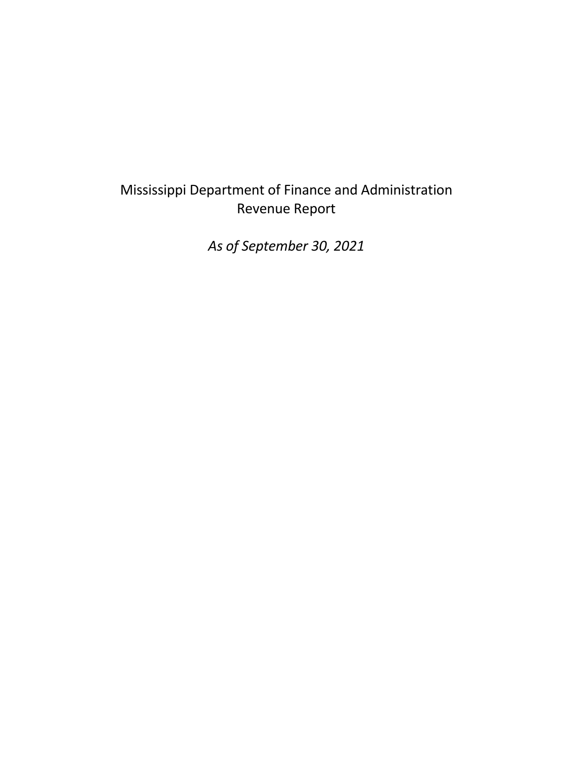# Mississippi Department of Finance and Administration Revenue Report

*As of September 30, 2021*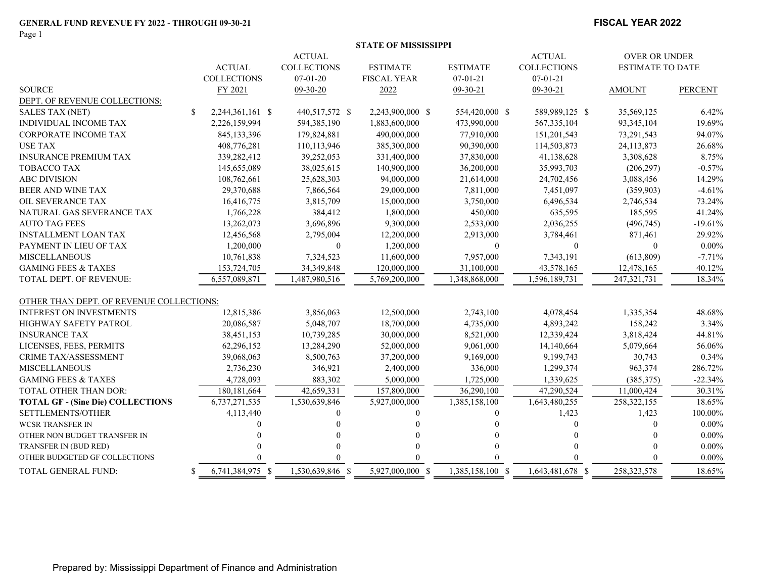Page 1

#### **FISCAL YEAR 2022**

|                               |                  | <b>OVER OR UNDER</b> |                    |                 |                    |                         |      |
|-------------------------------|------------------|----------------------|--------------------|-----------------|--------------------|-------------------------|------|
|                               | <b>ACTUAL</b>    | <b>COLLECTIONS</b>   | <b>ESTIMATE</b>    | <b>ESTIMATE</b> | <b>COLLECTIONS</b> | <b>ESTIMATE TO DATE</b> |      |
|                               | COLLECTIONS      | $07-01-20$           | <b>FISCAL YEAR</b> | $07-01-21$      | $07-01-21$         |                         |      |
| SOURCE                        | FY 2021          | $09-30-20$           | <u> 2022</u>       | $09-30-21$      | $09-30-21$         | <b>AMOUNT</b>           | PERC |
| DEPT. OF REVENUE COLLECTIONS: |                  |                      |                    |                 |                    |                         |      |
| SAI ES TAX (NET)              | $2.244361161$ \$ | 440.517.572 $\ell$   | 2.243.900.000.8    | 554 420 000     | 589991258          | 35 569 125              |      |

| <b>SOURCE</b>                            |     | FY 2021          | $09-30-20$       | 2022             | $09 - 30 - 21$   | 09-30-21         | <b>AMOUNT</b> | <b>PERCENT</b> |
|------------------------------------------|-----|------------------|------------------|------------------|------------------|------------------|---------------|----------------|
| DEPT. OF REVENUE COLLECTIONS:            |     |                  |                  |                  |                  |                  |               |                |
| <b>SALES TAX (NET)</b>                   | \$. | 2,244,361,161 \$ | 440,517,572 \$   | 2,243,900,000 \$ | 554,420,000 \$   | 589,989,125 \$   | 35,569,125    | 6.42%          |
| <b>INDIVIDUAL INCOME TAX</b>             |     | 2,226,159,994    | 594,385,190      | 1,883,600,000    | 473,990,000      | 567, 335, 104    | 93,345,104    | 19.69%         |
| CORPORATE INCOME TAX                     |     | 845,133,396      | 179,824,881      | 490,000,000      | 77,910,000       | 151,201,543      | 73,291,543    | 94.07%         |
| <b>USE TAX</b>                           |     | 408,776,281      | 110,113,946      | 385,300,000      | 90,390,000       | 114,503,873      | 24,113,873    | 26.68%         |
| <b>INSURANCE PREMIUM TAX</b>             |     | 339,282,412      | 39,252,053       | 331,400,000      | 37,830,000       | 41,138,628       | 3,308,628     | 8.75%          |
| <b>TOBACCO TAX</b>                       |     | 145,655,089      | 38,025,615       | 140,900,000      | 36,200,000       | 35,993,703       | (206, 297)    | $-0.57%$       |
| <b>ABC DIVISION</b>                      |     | 108,762,661      | 25,628,303       | 94,000,000       | 21,614,000       | 24,702,456       | 3,088,456     | 14.29%         |
| <b>BEER AND WINE TAX</b>                 |     | 29,370,688       | 7,866,564        | 29,000,000       | 7,811,000        | 7,451,097        | (359,903)     | $-4.61%$       |
| OIL SEVERANCE TAX                        |     | 16,416,775       | 3,815,709        | 15,000,000       | 3,750,000        | 6,496,534        | 2,746,534     | 73.24%         |
| NATURAL GAS SEVERANCE TAX                |     | 1,766,228        | 384,412          | 1,800,000        | 450,000          | 635,595          | 185,595       | 41.24%         |
| <b>AUTO TAG FEES</b>                     |     | 13,262,073       | 3,696,896        | 9,300,000        | 2,533,000        | 2,036,255        | (496,745)     | $-19.61%$      |
| <b>INSTALLMENT LOAN TAX</b>              |     | 12,456,568       | 2,795,004        | 12,200,000       | 2,913,000        | 3,784,461        | 871,461       | 29.92%         |
| PAYMENT IN LIEU OF TAX                   |     | 1,200,000        | $\Omega$         | 1,200,000        | $\Omega$         | $\Omega$         | $\Omega$      | $0.00\%$       |
| <b>MISCELLANEOUS</b>                     |     | 10,761,838       | 7,324,523        | 11,600,000       | 7,957,000        | 7,343,191        | (613, 809)    | $-7.71%$       |
| <b>GAMING FEES &amp; TAXES</b>           |     | 153,724,705      | 34,349,848       | 120,000,000      | 31,100,000       | 43,578,165       | 12,478,165    | 40.12%         |
| <b>TOTAL DEPT. OF REVENUE:</b>           |     | 6,557,089,871    | 1,487,980,516    | 5,769,200,000    | 1,348,868,000    | 1,596,189,731    | 247,321,731   | 18.34%         |
|                                          |     |                  |                  |                  |                  |                  |               |                |
| OTHER THAN DEPT. OF REVENUE COLLECTIONS: |     |                  |                  |                  |                  |                  |               |                |
| <b>INTEREST ON INVESTMENTS</b>           |     | 12,815,386       | 3,856,063        | 12,500,000       | 2,743,100        | 4,078,454        | 1,335,354     | 48.68%         |
| <b>HIGHWAY SAFETY PATROL</b>             |     | 20,086,587       | 5,048,707        | 18,700,000       | 4,735,000        | 4,893,242        | 158,242       | 3.34%          |
| <b>INSURANCE TAX</b>                     |     | 38,451,153       | 10,739,285       | 30,000,000       | 8,521,000        | 12,339,424       | 3,818,424     | 44.81%         |
| LICENSES, FEES, PERMITS                  |     | 62,296,152       | 13,284,290       | 52,000,000       | 9,061,000        | 14,140,664       | 5,079,664     | 56.06%         |
| <b>CRIME TAX/ASSESSMENT</b>              |     | 39,068,063       | 8,500,763        | 37,200,000       | 9,169,000        | 9,199,743        | 30,743        | 0.34%          |
| <b>MISCELLANEOUS</b>                     |     | 2,736,230        | 346,921          | 2,400,000        | 336,000          | 1,299,374        | 963,374       | 286.72%        |
| <b>GAMING FEES &amp; TAXES</b>           |     | 4,728,093        | 883,302          | 5,000,000        | 1,725,000        | 1,339,625        | (385, 375)    | $-22.34%$      |
| TOTAL OTHER THAN DOR:                    |     | 180, 181, 664    | 42,659,331       | 157,800,000      | 36,290,100       | 47,290,524       | 11,000,424    | 30.31%         |
| <b>TOTAL GF - (Sine Die) COLLECTIONS</b> |     | 6,737,271,535    | 1,530,639,846    | 5,927,000,000    | 1,385,158,100    | 1,643,480,255    | 258,322,155   | 18.65%         |
| SETTLEMENTS/OTHER                        |     | 4,113,440        |                  |                  |                  | 1,423            | 1,423         | 100.00%        |
| <b>WCSR TRANSFER IN</b>                  |     |                  |                  |                  |                  |                  | $\Omega$      | $0.00\%$       |
| OTHER NON BUDGET TRANSFER IN             |     |                  |                  |                  |                  |                  |               | $0.00\%$       |
| TRANSFER IN (BUD RED)                    |     |                  |                  |                  |                  |                  |               | $0.00\%$       |
| OTHER BUDGETED GF COLLECTIONS            |     |                  |                  | $\Omega$         |                  |                  | 0             | $0.00\%$       |
| <b>TOTAL GENERAL FUND:</b>               |     | 6,741,384,975 \$ | 1,530,639,846 \$ | 5,927,000,000 \$ | 1,385,158,100 \$ | 1,643,481,678 \$ | 258, 323, 578 | 18.65%         |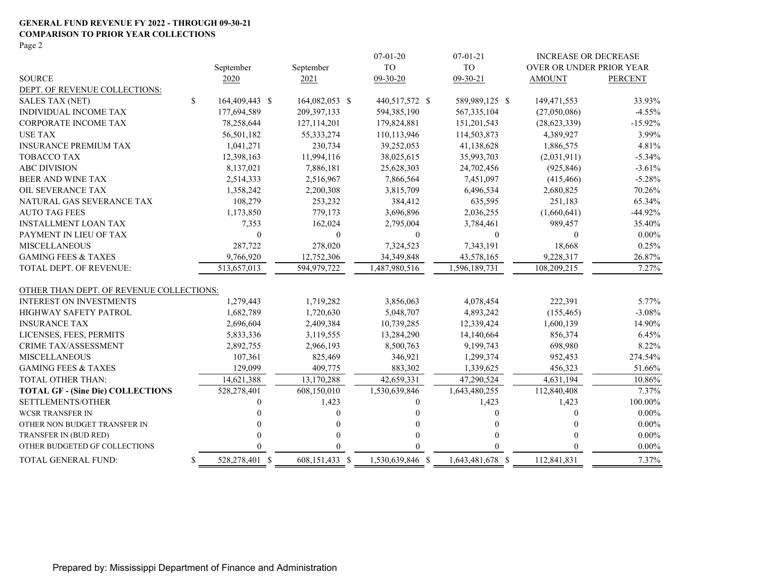#### **GENERAL FUND REVENUE FY 2022 - THROUGH 09-30-21 COMPARISON TO PRIOR YEAR COLLECTIONS** Page 2

|                                          |                      |                | $07-01-20$       | $07-01-21$       | <b>INCREASE OR DECREASE</b> |                |
|------------------------------------------|----------------------|----------------|------------------|------------------|-----------------------------|----------------|
|                                          | September            | September      | <b>TO</b>        | <b>TO</b>        | OVER OR UNDER PRIOR YEAR    |                |
| <b>SOURCE</b>                            | 2020                 | 2021           | 09-30-20         | 09-30-21         | <b>AMOUNT</b>               | <b>PERCENT</b> |
| DEPT. OF REVENUE COLLECTIONS:            |                      |                |                  |                  |                             |                |
| <b>SALES TAX (NET)</b>                   | \$<br>164,409,443 \$ | 164,082,053 \$ | 440,517,572 \$   | 589,989,125 \$   | 149,471,553                 | 33.93%         |
| INDIVIDUAL INCOME TAX                    | 177,694,589          | 209,397,133    | 594,385,190      | 567, 335, 104    | (27,050,086)                | $-4.55\%$      |
| <b>CORPORATE INCOME TAX</b>              | 78,258,644           | 127,114,201    | 179,824,881      | 151,201,543      | (28, 623, 339)              | $-15.92\%$     |
| <b>USE TAX</b>                           | 56,501,182           | 55, 333, 274   | 110,113,946      | 114,503,873      | 4,389,927                   | 3.99%          |
| <b>INSURANCE PREMIUM TAX</b>             | 1,041,271            | 230,734        | 39,252,053       | 41,138,628       | 1,886,575                   | 4.81%          |
| <b>TOBACCO TAX</b>                       | 12,398,163           | 11,994,116     | 38,025,615       | 35,993,703       | (2,031,911)                 | $-5.34%$       |
| <b>ABC DIVISION</b>                      | 8,137,021            | 7,886,181      | 25,628,303       | 24,702,456       | (925, 846)                  | $-3.61%$       |
| BEER AND WINE TAX                        | 2,514,333            | 2,516,967      | 7,866,564        | 7,451,097        | (415, 466)                  | $-5.28%$       |
| OIL SEVERANCE TAX                        | 1,358,242            | 2,200,308      | 3,815,709        | 6,496,534        | 2,680,825                   | 70.26%         |
| NATURAL GAS SEVERANCE TAX                | 108,279              | 253,232        | 384,412          | 635,595          | 251,183                     | 65.34%         |
| <b>AUTO TAG FEES</b>                     | 1,173,850            | 779,173        | 3,696,896        | 2,036,255        | (1,660,641)                 | $-44.92%$      |
| <b>INSTALLMENT LOAN TAX</b>              | 7,353                | 162,024        | 2,795,004        | 3,784,461        | 989,457                     | 35.40%         |
| PAYMENT IN LIEU OF TAX                   | $\theta$             | $\mathbf{0}$   | $\mathbf{0}$     | $\theta$         | $\Omega$                    | $0.00\%$       |
| <b>MISCELLANEOUS</b>                     | 287,722              | 278,020        | 7,324,523        | 7,343,191        | 18,668                      | 0.25%          |
| <b>GAMING FEES &amp; TAXES</b>           | 9,766,920            | 12,752,306     | 34,349,848       | 43,578,165       | 9,228,317                   | 26.87%         |
| TOTAL DEPT. OF REVENUE:                  | 513,657,013          | 594,979,722    | 1,487,980,516    | 1,596,189,731    | 108,209,215                 | 7.27%          |
| OTHER THAN DEPT. OF REVENUE COLLECTIONS: |                      |                |                  |                  |                             |                |
| <b>INTEREST ON INVESTMENTS</b>           | 1,279,443            | 1,719,282      | 3,856,063        | 4,078,454        | 222,391                     | 5.77%          |
| HIGHWAY SAFETY PATROL                    | 1,682,789            | 1,720,630      | 5,048,707        | 4,893,242        | (155, 465)                  | $-3.08\%$      |
| <b>INSURANCE TAX</b>                     | 2,696,604            | 2,409,384      | 10,739,285       | 12,339,424       | 1,600,139                   | 14.90%         |
| LICENSES, FEES, PERMITS                  | 5,833,336            | 3,119,555      | 13,284,290       | 14,140,664       | 856,374                     | 6.45%          |
| <b>CRIME TAX/ASSESSMENT</b>              | 2,892,755            | 2,966,193      | 8,500,763        | 9,199,743        | 698,980                     | 8.22%          |
| <b>MISCELLANEOUS</b>                     | 107,361              | 825,469        | 346,921          | 1,299,374        | 952,453                     | 274.54%        |
| <b>GAMING FEES &amp; TAXES</b>           | 129,099              | 409,775        | 883,302          | 1,339,625        | 456,323                     | 51.66%         |
| <b>TOTAL OTHER THAN:</b>                 | 14,621,388           | 13,170,288     | 42,659,331       | 47,290,524       | 4,631,194                   | 10.86%         |
| <b>TOTAL GF - (Sine Die) COLLECTIONS</b> | 528,278,401          | 608,150,010    | 1,530,639,846    | 1,643,480,255    | 112,840,408                 | $7.37\%$       |
| SETTLEMENTS/OTHER                        |                      | 1,423          | 0                | 1,423            | 1,423                       | 100.00%        |
| <b>WCSR TRANSFER IN</b>                  |                      | 0              |                  | 0                | 0                           | $0.00\%$       |
| OTHER NON BUDGET TRANSFER IN             |                      | 0              |                  |                  | $\Omega$                    | $0.00\%$       |
| TRANSFER IN (BUD RED)                    |                      | 0              |                  |                  |                             | $0.00\%$       |
| OTHER BUDGETED GF COLLECTIONS            |                      |                |                  |                  |                             | $0.00\%$       |
| TOTAL GENERAL FUND:                      | \$<br>528,278,401 \$ | 608,151,433 \$ | 1,530,639,846 \$ | 1,643,481,678 \$ | 112,841,831                 | 7.37%          |